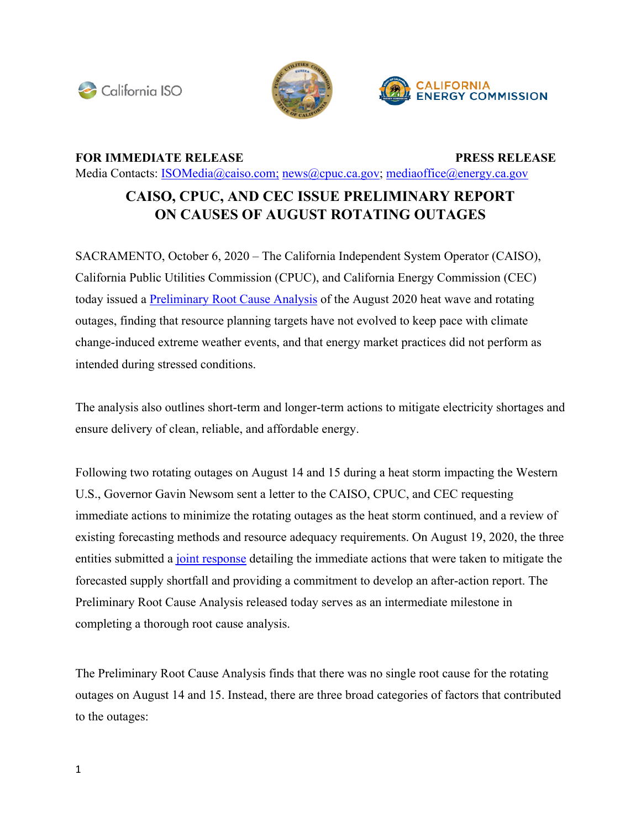





## **FOR IMMEDIATE RELEASE PRESS RELEASE**

Media Contacts: [ISOMedia@caiso.com](mailto:ISOMedia@caiso.com); [news@cpuc.ca.gov;](mailto:news@cpuc.ca.gov) [mediaoffice@energy.ca.gov](mailto:mediaoffice@energy.ca.gov) 

## **CAISO, CPUC, AND CEC ISSUE PRELIMINARY REPORT ON CAUSES OF AUGUST ROTATING OUTAGES**

SACRAMENTO, October 6, 2020 – The California Independent System Operator (CAISO), California Public Utilities Commission (CPUC), and California Energy Commission (CEC) today issued a [Preliminary](http://www.caiso.com/Documents/Preliminary-Root-Cause-Analysis-Rotating-Outages-August-2020.pdf) Root Cause Analysis of the August 2020 heat wave and rotating outages, finding that resource planning targets have not evolved to keep pace with climate change-induced extreme weather events, and that energy market practices did not perform as intended during stressed conditions.

The analysis also outlines short-term and longer-term actions to mitigate electricity shortages and ensure delivery of clean, reliable, and affordable energy.

Following two rotating outages on August 14 and 15 during a heat storm impacting the Western U.S., Governor Gavin Newsom sent a letter to the CAISO, CPUC, and CEC requesting immediate actions to minimize the rotating outages as the heat storm continued, and a review of existing forecasting methods and resource adequacy requirements. On August 19, 2020, the three entities submitted a joint [response](https://www.cpuc.ca.gov/uploadedFiles/CPUCWebsite/Content/News_Room/NewsUpdates/2020/Joint%20Response%20to%20Governor%20Newsom%20Letter%20August192020.pdf) detailing the immediate actions that were taken to mitigate the forecasted supply shortfall and providing a commitment to develop an after-action report. The Preliminary Root Cause Analysis released today serves as an intermediate milestone in completing a thorough root cause analysis.

The Preliminary Root Cause Analysis finds that there was no single root cause for the rotating outages on August 14 and 15. Instead, there are three broad categories of factors that contributed to the outages: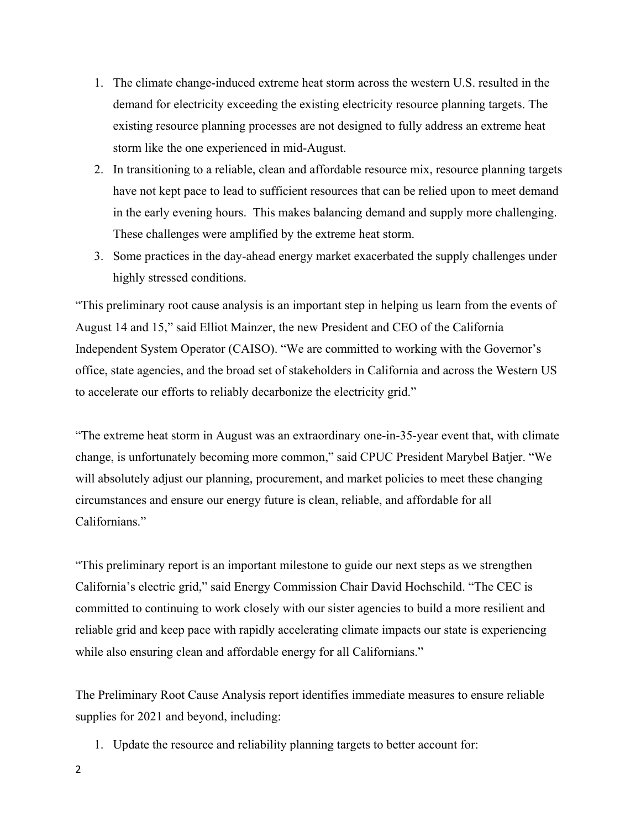- 1. The climate change-induced extreme heat storm across the western U.S. resulted in the demand for electricity exceeding the existing electricity resource planning targets. The existing resource planning processes are not designed to fully address an extreme heat storm like the one experienced in mid-August.
- 2. In transitioning to a reliable, clean and affordable resource mix, resource planning targets have not kept pace to lead to sufficient resources that can be relied upon to meet demand in the early evening hours. This makes balancing demand and supply more challenging. These challenges were amplified by the extreme heat storm.
- 3. Some practices in the day-ahead energy market exacerbated the supply challenges under highly stressed conditions.

"This preliminary root cause analysis is an important step in helping us learn from the events of August 14 and 15," said Elliot Mainzer, the new President and CEO of the California Independent System Operator (CAISO). "We are committed to working with the Governor's office, state agencies, and the broad set of stakeholders in California and across the Western US to accelerate our efforts to reliably decarbonize the electricity grid."

"The extreme heat storm in August was an extraordinary one-in-35-year event that, with climate change, is unfortunately becoming more common," said CPUC President Marybel Batjer. "We will absolutely adjust our planning, procurement, and market policies to meet these changing circumstances and ensure our energy future is clean, reliable, and affordable for all Californians."

"This preliminary report is an important milestone to guide our next steps as we strengthen California's electric grid," said Energy Commission Chair David Hochschild. "The CEC is committed to continuing to work closely with our sister agencies to build a more resilient and reliable grid and keep pace with rapidly accelerating climate impacts our state is experiencing while also ensuring clean and affordable energy for all Californians."

The Preliminary Root Cause Analysis report identifies immediate measures to ensure reliable supplies for 2021 and beyond, including:

1. Update the resource and reliability planning targets to better account for: